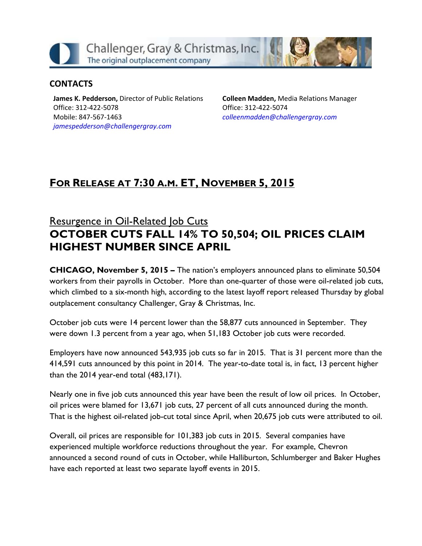

### **CONTACTS**

**James K. Pedderson,** Director of Public Relations Office: 312-422-5078 Mobile: 847-567-1463 *[jamespedderson@challengergray.com](mailto:jamespedderson@challengergray.com)*

**Colleen Madden,** Media Relations Manager Office: 312-422-5074 *[colleenmadden@challengergray.com](mailto:colleenmadden@challengergray.com)*

# **FOR RELEASE AT 7:30 A.M. ET, NOVEMBER 5, 2015**

## Resurgence in Oil-Related Job Cuts **OCTOBER CUTS FALL 14% TO 50,504; OIL PRICES CLAIM HIGHEST NUMBER SINCE APRIL**

**CHICAGO, November 5, 2015 –** The nation's employers announced plans to eliminate 50,504 workers from their payrolls in October. More than one-quarter of those were oil-related job cuts, which climbed to a six-month high, according to the latest layoff report released Thursday by global outplacement consultancy Challenger, Gray & Christmas, Inc.

October job cuts were 14 percent lower than the 58,877 cuts announced in September. They were down 1.3 percent from a year ago, when 51,183 October job cuts were recorded.

Employers have now announced 543,935 job cuts so far in 2015. That is 31 percent more than the 414,591 cuts announced by this point in 2014. The year-to-date total is, in fact, 13 percent higher than the 2014 year-end total (483,171).

Nearly one in five job cuts announced this year have been the result of low oil prices. In October, oil prices were blamed for 13,671 job cuts, 27 percent of all cuts announced during the month. That is the highest oil-related job-cut total since April, when 20,675 job cuts were attributed to oil.

Overall, oil prices are responsible for 101,383 job cuts in 2015. Several companies have experienced multiple workforce reductions throughout the year. For example, Chevron announced a second round of cuts in October, while Halliburton, Schlumberger and Baker Hughes have each reported at least two separate layoff events in 2015.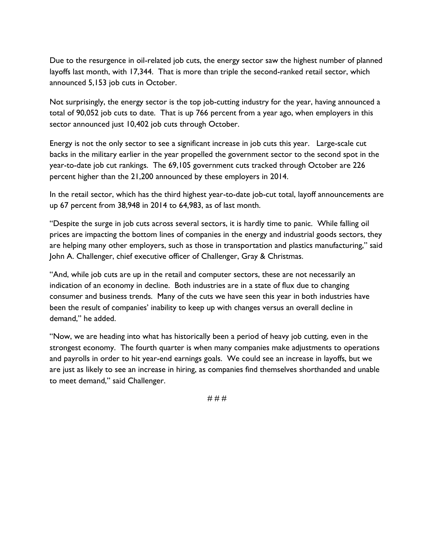Due to the resurgence in oil-related job cuts, the energy sector saw the highest number of planned layoffs last month, with 17,344. That is more than triple the second-ranked retail sector, which announced 5,153 job cuts in October.

Not surprisingly, the energy sector is the top job-cutting industry for the year, having announced a total of 90,052 job cuts to date. That is up 766 percent from a year ago, when employers in this sector announced just 10,402 job cuts through October.

Energy is not the only sector to see a significant increase in job cuts this year. Large-scale cut backs in the military earlier in the year propelled the government sector to the second spot in the year-to-date job cut rankings. The 69,105 government cuts tracked through October are 226 percent higher than the 21,200 announced by these employers in 2014.

In the retail sector, which has the third highest year-to-date job-cut total, layoff announcements are up 67 percent from 38,948 in 2014 to 64,983, as of last month.

"Despite the surge in job cuts across several sectors, it is hardly time to panic. While falling oil prices are impacting the bottom lines of companies in the energy and industrial goods sectors, they are helping many other employers, such as those in transportation and plastics manufacturing," said John A. Challenger, chief executive officer of Challenger, Gray & Christmas.

"And, while job cuts are up in the retail and computer sectors, these are not necessarily an indication of an economy in decline. Both industries are in a state of flux due to changing consumer and business trends. Many of the cuts we have seen this year in both industries have been the result of companies' inability to keep up with changes versus an overall decline in demand," he added.

"Now, we are heading into what has historically been a period of heavy job cutting, even in the strongest economy. The fourth quarter is when many companies make adjustments to operations and payrolls in order to hit year-end earnings goals. We could see an increase in layoffs, but we are just as likely to see an increase in hiring, as companies find themselves shorthanded and unable to meet demand," said Challenger.

# # #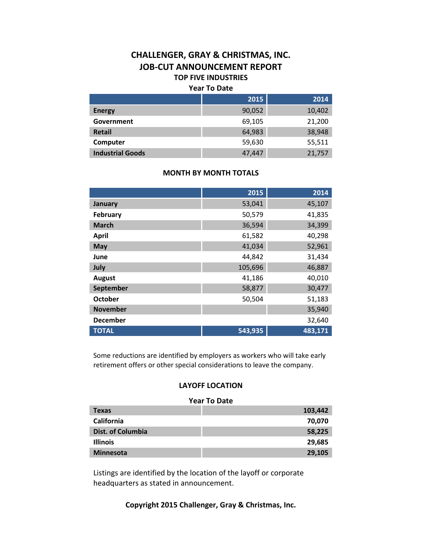## **CHALLENGER, GRAY & CHRISTMAS, INC. JOB-CUT ANNOUNCEMENT REPORT TOP FIVE INDUSTRIES**

#### **Year To Date**

|                         | 2015   | 2014   |
|-------------------------|--------|--------|
| <b>Energy</b>           | 90,052 | 10,402 |
| Government              | 69,105 | 21,200 |
| <b>Retail</b>           | 64,983 | 38,948 |
| Computer                | 59,630 | 55,511 |
| <b>Industrial Goods</b> | 47,447 | 21,757 |

#### **MONTH BY MONTH TOTALS**

|                 | 2015    | 2014    |
|-----------------|---------|---------|
| January         | 53,041  | 45,107  |
| February        | 50,579  | 41,835  |
| <b>March</b>    | 36,594  | 34,399  |
| <b>April</b>    | 61,582  | 40,298  |
| <b>May</b>      | 41,034  | 52,961  |
| June            | 44,842  | 31,434  |
| July            | 105,696 | 46,887  |
| <b>August</b>   | 41,186  | 40,010  |
| September       | 58,877  | 30,477  |
| <b>October</b>  | 50,504  | 51,183  |
| <b>November</b> |         | 35,940  |
| <b>December</b> |         | 32,640  |
| <b>TOTAL</b>    | 543,935 | 483,171 |

Some reductions are identified by employers as workers who will take early retirement offers or other special considerations to leave the company.

#### **LAYOFF LOCATION**

#### **Year To Date Texas 103,442 California 70,070 Dist. of Columbia 58,225 Illinois 29,685 Minnesota 29,105**

Listings are identified by the location of the layoff or corporate headquarters as stated in announcement.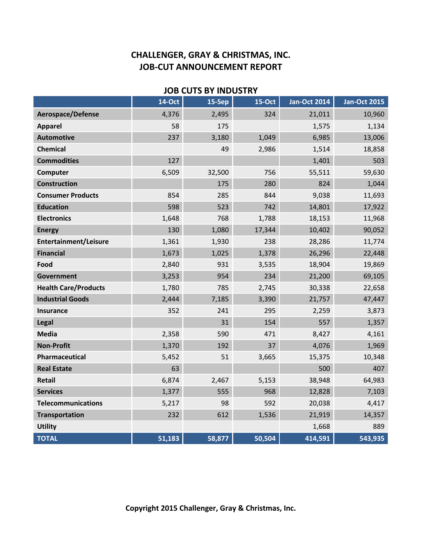| <b>JOB CUTS BY INDUSTRY</b> |               |        |          |                     |                     |  |  |
|-----------------------------|---------------|--------|----------|---------------------|---------------------|--|--|
|                             | <b>14-Oct</b> | 15-Sep | $15-Oct$ | <b>Jan-Oct 2014</b> | <b>Jan-Oct 2015</b> |  |  |
| Aerospace/Defense           | 4,376         | 2,495  | 324      | 21,011              | 10,960              |  |  |
| <b>Apparel</b>              | 58            | 175    |          | 1,575               | 1,134               |  |  |
| <b>Automotive</b>           | 237           | 3,180  | 1,049    | 6,985               | 13,006              |  |  |
| <b>Chemical</b>             |               | 49     | 2,986    | 1,514               | 18,858              |  |  |
| <b>Commodities</b>          | 127           |        |          | 1,401               | 503                 |  |  |
| Computer                    | 6,509         | 32,500 | 756      | 55,511              | 59,630              |  |  |
| <b>Construction</b>         |               | 175    | 280      | 824                 | 1,044               |  |  |
| <b>Consumer Products</b>    | 854           | 285    | 844      | 9,038               | 11,693              |  |  |
| <b>Education</b>            | 598           | 523    | 742      | 14,801              | 17,922              |  |  |
| <b>Electronics</b>          | 1,648         | 768    | 1,788    | 18,153              | 11,968              |  |  |
| <b>Energy</b>               | 130           | 1,080  | 17,344   | 10,402              | 90,052              |  |  |
| Entertainment/Leisure       | 1,361         | 1,930  | 238      | 28,286              | 11,774              |  |  |
| <b>Financial</b>            | 1,673         | 1,025  | 1,378    | 26,296              | 22,448              |  |  |
| Food                        | 2,840         | 931    | 3,535    | 18,904              | 19,869              |  |  |
| <b>Government</b>           | 3,253         | 954    | 234      | 21,200              | 69,105              |  |  |
| <b>Health Care/Products</b> | 1,780         | 785    | 2,745    | 30,338              | 22,658              |  |  |
| <b>Industrial Goods</b>     | 2,444         | 7,185  | 3,390    | 21,757              | 47,447              |  |  |
| <b>Insurance</b>            | 352           | 241    | 295      | 2,259               | 3,873               |  |  |
| Legal                       |               | 31     | 154      | 557                 | 1,357               |  |  |
| <b>Media</b>                | 2,358         | 590    | 471      | 8,427               | 4,161               |  |  |
| <b>Non-Profit</b>           | 1,370         | 192    | 37       | 4,076               | 1,969               |  |  |
| Pharmaceutical              | 5,452         | 51     | 3,665    | 15,375              | 10,348              |  |  |
| <b>Real Estate</b>          | 63            |        |          | 500                 | 407                 |  |  |
| <b>Retail</b>               | 6,874         | 2,467  | 5,153    | 38,948              | 64,983              |  |  |
| <b>Services</b>             | 1,377         | 555    | 968      | 12,828              | 7,103               |  |  |
| <b>Telecommunications</b>   | 5,217         | 98     | 592      | 20,038              | 4,417               |  |  |
| <b>Transportation</b>       | 232           | 612    | 1,536    | 21,919              | 14,357              |  |  |
| <b>Utility</b>              |               |        |          | 1,668               | 889                 |  |  |
| <b>TOTAL</b>                | 51,183        | 58,877 | 50,504   | 414,591             | 543,935             |  |  |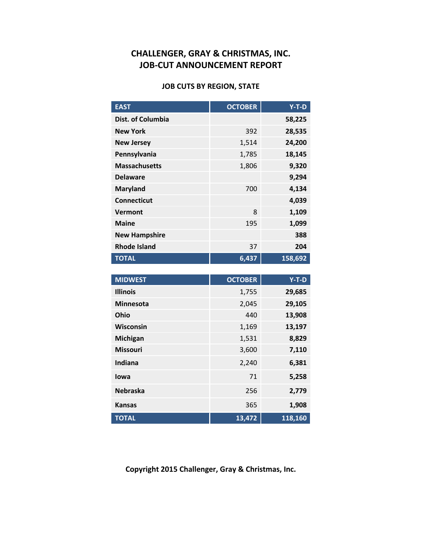#### **JOB CUTS BY REGION, STATE**

| <b>EAST</b>          | <b>OCTOBER</b> | $Y-T-D$ |
|----------------------|----------------|---------|
| Dist. of Columbia    |                | 58,225  |
| <b>New York</b>      | 392            | 28,535  |
| <b>New Jersey</b>    | 1,514          | 24,200  |
| Pennsylvania         | 1,785          | 18,145  |
| <b>Massachusetts</b> | 1,806          | 9,320   |
| <b>Delaware</b>      |                | 9,294   |
| <b>Maryland</b>      | 700            | 4,134   |
| <b>Connecticut</b>   |                | 4,039   |
| Vermont              | 8              | 1,109   |
| <b>Maine</b>         | 195            | 1,099   |
| <b>New Hampshire</b> |                | 388     |
| <b>Rhode Island</b>  | 37             | 204     |
| <b>TOTAL</b>         | 6,437          | 158,692 |

| <b>MIDWEST</b>   | <b>OCTOBER</b> | $Y-T-D$ |
|------------------|----------------|---------|
| <b>Illinois</b>  | 1,755          | 29,685  |
| <b>Minnesota</b> | 2,045          | 29,105  |
| Ohio             | 440            | 13,908  |
| <b>Wisconsin</b> | 1,169          | 13,197  |
| <b>Michigan</b>  | 1,531          | 8,829   |
| <b>Missouri</b>  | 3,600          | 7,110   |
| Indiana          | 2,240          | 6,381   |
| lowa             | 71             | 5,258   |
| <b>Nebraska</b>  | 256            | 2,779   |
| <b>Kansas</b>    | 365            | 1,908   |
| <b>TOTAL</b>     | 13,472         | 118,160 |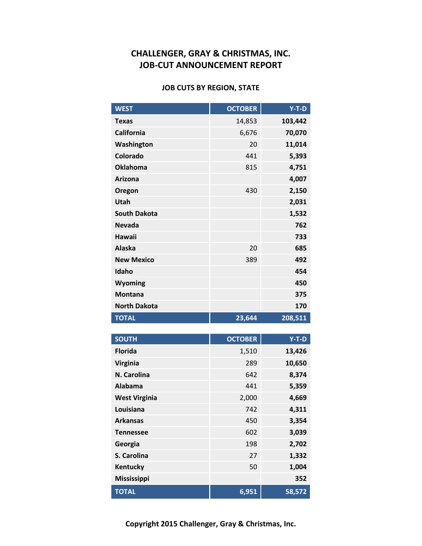#### **JOB CUTS BY REGION, STATE**

| <b>WEST</b>         | <b>OCTOBER</b> | $Y-T-D$ |
|---------------------|----------------|---------|
| <b>Texas</b>        | 14,853         | 103,442 |
| California          | 6,676          | 70,070  |
| Washington          | 20             | 11,014  |
| Colorado            | 441            | 5,393   |
| <b>Oklahoma</b>     | 815            | 4,751   |
| <b>Arizona</b>      |                | 4,007   |
| Oregon              | 430            | 2,150   |
| Utah                |                | 2,031   |
| <b>South Dakota</b> |                | 1,532   |
| <b>Nevada</b>       |                | 762     |
| Hawaii              |                | 733     |
| <b>Alaska</b>       | 20             | 685     |
| <b>New Mexico</b>   | 389            | 492     |
| Idaho               |                | 454     |
| Wyoming             |                | 450     |
| <b>Montana</b>      |                | 375     |
| <b>North Dakota</b> |                | 170     |
| <b>TOTAL</b>        | 23,644         | 208,511 |

| <b>SOUTH</b>         | <b>OCTOBER</b> | Y-T-D  |
|----------------------|----------------|--------|
| <b>Florida</b>       | 1,510          | 13,426 |
| <b>Virginia</b>      | 289            | 10,650 |
| N. Carolina          | 642            | 8,374  |
| Alabama              | 441            | 5,359  |
| <b>West Virginia</b> | 2,000          | 4,669  |
| Louisiana            | 742            | 4,311  |
| <b>Arkansas</b>      | 450            | 3,354  |
| <b>Tennessee</b>     | 602            | 3,039  |
| Georgia              | 198            | 2,702  |
| S. Carolina          | 27             | 1,332  |
| Kentucky             | 50             | 1,004  |
| <b>Mississippi</b>   |                | 352    |
| <b>TOTAL</b>         | 6,951          | 58,572 |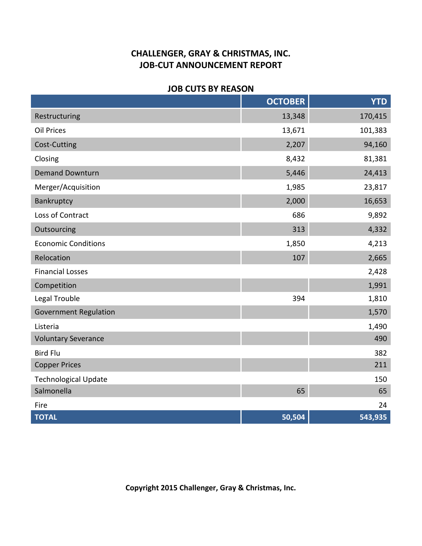### **JOB CUTS BY REASON**

|                              | <b>OCTOBER</b> | <b>YTD</b> |
|------------------------------|----------------|------------|
| Restructuring                | 13,348         | 170,415    |
| <b>Oil Prices</b>            | 13,671         | 101,383    |
| Cost-Cutting                 | 2,207          | 94,160     |
| Closing                      | 8,432          | 81,381     |
| <b>Demand Downturn</b>       | 5,446          | 24,413     |
| Merger/Acquisition           | 1,985          | 23,817     |
| Bankruptcy                   | 2,000          | 16,653     |
| Loss of Contract             | 686            | 9,892      |
| Outsourcing                  | 313            | 4,332      |
| <b>Economic Conditions</b>   | 1,850          | 4,213      |
| Relocation                   | 107            | 2,665      |
| <b>Financial Losses</b>      |                | 2,428      |
| Competition                  |                | 1,991      |
| Legal Trouble                | 394            | 1,810      |
| <b>Government Regulation</b> |                | 1,570      |
| Listeria                     |                | 1,490      |
| <b>Voluntary Severance</b>   |                | 490        |
| <b>Bird Flu</b>              |                | 382        |
| <b>Copper Prices</b>         |                | 211        |
| <b>Technological Update</b>  |                | 150        |
| Salmonella                   | 65             | 65         |
| Fire                         |                | 24         |
| <b>TOTAL</b>                 | 50,504         | 543,935    |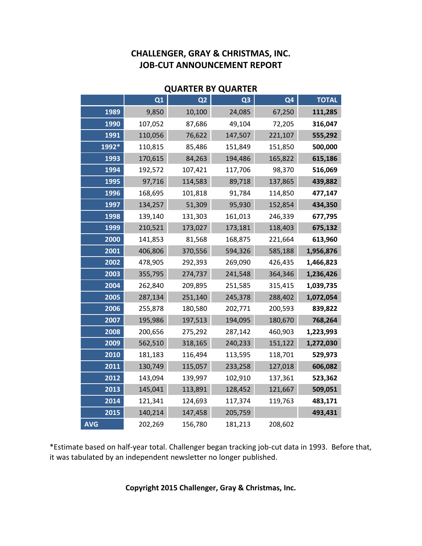| <b>QUARTER BY QUARTER</b> |                |                |                |                |              |
|---------------------------|----------------|----------------|----------------|----------------|--------------|
|                           | Q <sub>1</sub> | Q <sub>2</sub> | Q <sub>3</sub> | Q <sub>4</sub> | <b>TOTAL</b> |
| 1989                      | 9,850          | 10,100         | 24,085         | 67,250         | 111,285      |
| 1990                      | 107,052        | 87,686         | 49,104         | 72,205         | 316,047      |
| 1991                      | 110,056        | 76,622         | 147,507        | 221,107        | 555,292      |
| 1992*                     | 110,815        | 85,486         | 151,849        | 151,850        | 500,000      |
| 1993                      | 170,615        | 84,263         | 194,486        | 165,822        | 615,186      |
| 1994                      | 192,572        | 107,421        | 117,706        | 98,370         | 516,069      |
| 1995                      | 97,716         | 114,583        | 89,718         | 137,865        | 439,882      |
| 1996                      | 168,695        | 101,818        | 91,784         | 114,850        | 477,147      |
| 1997                      | 134,257        | 51,309         | 95,930         | 152,854        | 434,350      |
| 1998                      | 139,140        | 131,303        | 161,013        | 246,339        | 677,795      |
| 1999                      | 210,521        | 173,027        | 173,181        | 118,403        | 675,132      |
| 2000                      | 141,853        | 81,568         | 168,875        | 221,664        | 613,960      |
| 2001                      | 406,806        | 370,556        | 594,326        | 585,188        | 1,956,876    |
| 2002                      | 478,905        | 292,393        | 269,090        | 426,435        | 1,466,823    |
| 2003                      | 355,795        | 274,737        | 241,548        | 364,346        | 1,236,426    |
| 2004                      | 262,840        | 209,895        | 251,585        | 315,415        | 1,039,735    |
| 2005                      | 287,134        | 251,140        | 245,378        | 288,402        | 1,072,054    |
| 2006                      | 255,878        | 180,580        | 202,771        | 200,593        | 839,822      |
| 2007                      | 195,986        | 197,513        | 194,095        | 180,670        | 768,264      |
| 2008                      | 200,656        | 275,292        | 287,142        | 460,903        | 1,223,993    |
| 2009                      | 562,510        | 318,165        | 240,233        | 151,122        | 1,272,030    |
| 2010                      | 181,183        | 116,494        | 113,595        | 118,701        | 529,973      |
| 2011                      | 130,749        | 115,057        | 233,258        | 127,018        | 606,082      |
| 2012                      | 143,094        | 139,997        | 102,910        | 137,361        | 523,362      |
| 2013                      | 145,041        | 113,891        | 128,452        | 121,667        | 509,051      |
| 2014                      | 121,341        | 124,693        | 117,374        | 119,763        | 483,171      |
| 2015                      | 140,214        | 147,458        | 205,759        |                | 493,431      |
| <b>AVG</b>                | 202,269        | 156,780        | 181,213        | 208,602        |              |

\*Estimate based on half-year total. Challenger began tracking job-cut data in 1993. Before that, it was tabulated by an independent newsletter no longer published.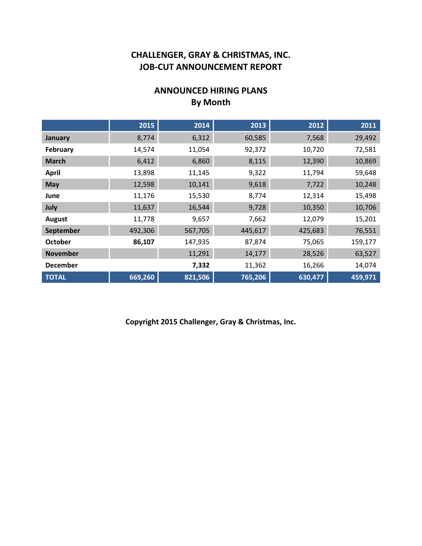## **ANNOUNCED HIRING PLANS By Month**

|                 | 2015    | 2014    | 2013    | 2012    | 2011    |
|-----------------|---------|---------|---------|---------|---------|
| January         | 8,774   | 6,312   | 60,585  | 7,568   | 29,492  |
| February        | 14,574  | 11,054  | 92,372  | 10,720  | 72,581  |
| <b>March</b>    | 6,412   | 6,860   | 8,115   | 12,390  | 10,869  |
| <b>April</b>    | 13,898  | 11,145  | 9,322   | 11,794  | 59,648  |
| <b>May</b>      | 12,598  | 10,141  | 9,618   | 7,722   | 10,248  |
| June            | 11,176  | 15,530  | 8,774   | 12,314  | 15,498  |
| July            | 11,637  | 16,544  | 9,728   | 10,350  | 10,706  |
| <b>August</b>   | 11,778  | 9,657   | 7,662   | 12,079  | 15,201  |
| September       | 492,306 | 567,705 | 445,617 | 425,683 | 76,551  |
| <b>October</b>  | 86,107  | 147,935 | 87,874  | 75,065  | 159,177 |
| <b>November</b> |         | 11,291  | 14,177  | 28,526  | 63,527  |
| <b>December</b> |         | 7,332   | 11,362  | 16,266  | 14,074  |
| <b>TOTAL</b>    | 669,260 | 821,506 | 765,206 | 630,477 | 459,971 |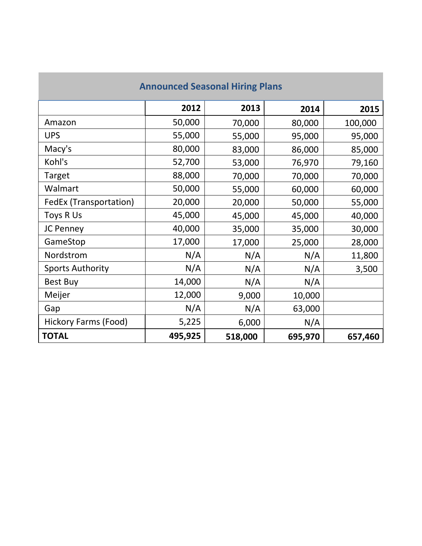# **Announced Seasonal Hiring Plans**

|                             | 2012    | 2013    | 2014    | 2015    |
|-----------------------------|---------|---------|---------|---------|
| Amazon                      | 50,000  | 70,000  | 80,000  | 100,000 |
| <b>UPS</b>                  | 55,000  | 55,000  | 95,000  | 95,000  |
| Macy's                      | 80,000  | 83,000  | 86,000  | 85,000  |
| Kohl's                      | 52,700  | 53,000  | 76,970  | 79,160  |
| Target                      | 88,000  | 70,000  | 70,000  | 70,000  |
| Walmart                     | 50,000  | 55,000  | 60,000  | 60,000  |
| FedEx (Transportation)      | 20,000  | 20,000  | 50,000  | 55,000  |
| Toys R Us                   | 45,000  | 45,000  | 45,000  | 40,000  |
| JC Penney                   | 40,000  | 35,000  | 35,000  | 30,000  |
| GameStop                    | 17,000  | 17,000  | 25,000  | 28,000  |
| Nordstrom                   | N/A     | N/A     | N/A     | 11,800  |
| <b>Sports Authority</b>     | N/A     | N/A     | N/A     | 3,500   |
| <b>Best Buy</b>             | 14,000  | N/A     | N/A     |         |
| Meijer                      | 12,000  | 9,000   | 10,000  |         |
| Gap                         | N/A     | N/A     | 63,000  |         |
| <b>Hickory Farms (Food)</b> | 5,225   | 6,000   | N/A     |         |
| <b>TOTAL</b>                | 495,925 | 518,000 | 695,970 | 657,460 |